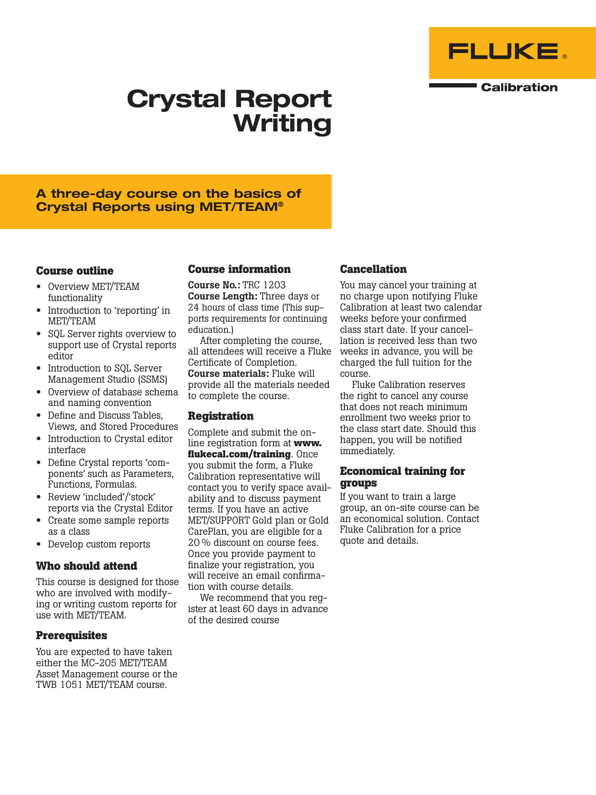

**Calibration** 

# Crystal Report Writing

## A three-day course on the basics of Crystal Reports using MET/TEAM®

#### **Course outline**

- Overview MET/TEAM functionality
- Introduction to 'reporting' in MET/TEAM
- SQL Server rights overview to support use of Crystal reports editor
- Introduction to SQL Server Management Studio (SSMS)
- Overview of database schema and naming convention
- Define and Discuss Tables, Views, and Stored Procedures
- Introduction to Crystal editor interface
- Define Crystal reports 'components' such as Parameters, Functions, Formulas.
- Review 'included'/'stock' reports via the Crystal Editor
- Create some sample reports as a class
- Develop custom reports

#### **Who should attend**

This course is designed for those who are involved with modifying or writing custom reports for use with MET/TEAM.

#### **Prerequisites**

You are expected to have taken either the MC-205 MET/TEAM Asset Management course or the TWB 1051 MET/TEAM course.

#### **Course information**

Course No.: TRC 1203 Course Length: Three days or 24 hours of class time (This supports requirements for continuing education.)

After completing the course, all attendees will receive a Fluke Certificate of Completion. Course materials: Fluke will provide all the materials needed to complete the course.

#### **Registration**

Complete and submit the online registration form at **www. flukecal.com/training**. Once you submit the form, a Fluke Calibration representative will contact you to verify space availability and to discuss payment terms. If you have an active MET/SUPPORT Gold plan or Gold CarePlan, you are eligible for a 20 % discount on course fees. Once you provide payment to finalize your registration, you will receive an email confirmation with course details.

We recommend that you register at least 60 days in advance of the desired course

### **Cancellation**

You may cancel your training at no charge upon notifying Fluke Calibration at least two calendar weeks before your confirmed class start date. If your cancellation is received less than two weeks in advance, you will be charged the full tuition for the course.

Fluke Calibration reserves the right to cancel any course that does not reach minimum enrollment two weeks prior to the class start date. Should this happen, you will be notified immediately.

#### **Economical training for groups**

If you want to train a large group, an on-site course can be an economical solution. Contact Fluke Calibration for a price quote and details.